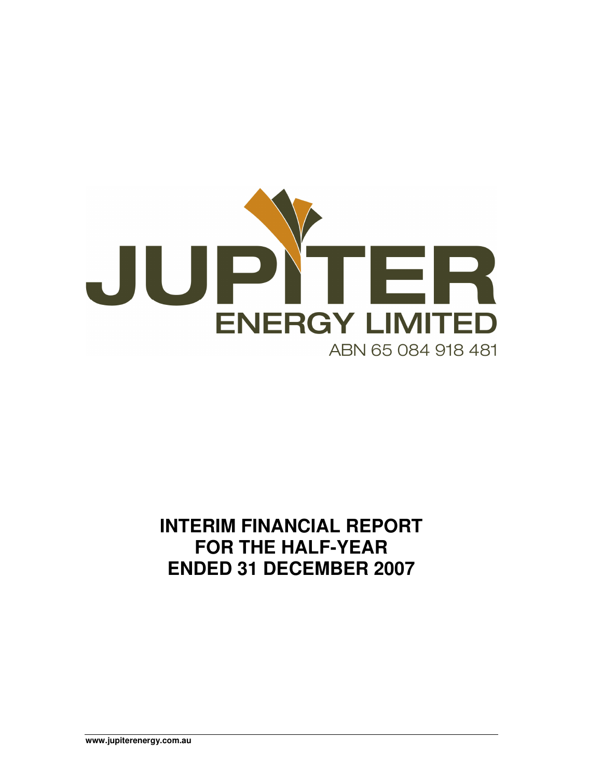

## **INTERIM FINANCIAL REPORT FOR THE HALF-YEAR ENDED 31 DECEMBER 2007**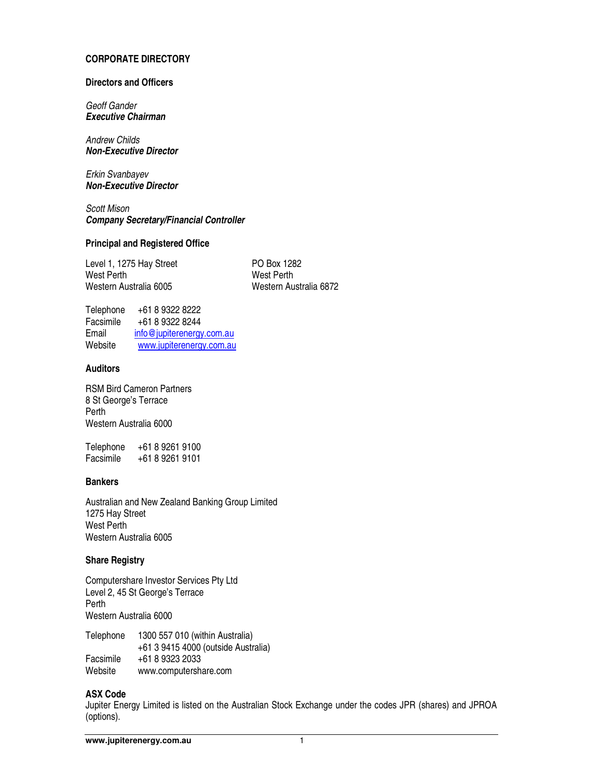#### **CORPORATE DIRECTORY**

#### **Directors and Officers**

Geoff Gander **Executive Chairman** 

Andrew Childs **Non-Executive Director** 

Erkin Svanbayev **Non-Executive Director** 

Scott Mison **Company Secretary/Financial Controller** 

#### **Principal and Registered Office**

Level 1, 1275 Hay Street PO Box 1282 West Perth<br>Western Australia 6005 **Metaluary 1998** Western Australia 6005

Western Australia 6872

Telephone +61 8 9322 8222 Facsimile +61 8 9322 8244 Email info@jupiterenergy.com.au Website www.jupiterenergy.com.au

#### **Auditors**

RSM Bird Cameron Partners 8 St George's Terrace Perth Western Australia 6000

Telephone +61 8 9261 9100 Facsimile +61 8 9261 9101

#### **Bankers**

Australian and New Zealand Banking Group Limited 1275 Hay Street West Perth Western Australia 6005

#### **Share Registry**

Computershare Investor Services Pty Ltd Level 2, 45 St George's Terrace Perth Western Australia 6000

Telephone 1300 557 010 (within Australia) +61 3 9415 4000 (outside Australia) Facsimile +61 8 9323 2033<br>Website www.computersh www.computershare.com

#### **ASX Code**

Jupiter Energy Limited is listed on the Australian Stock Exchange under the codes JPR (shares) and JPROA (options).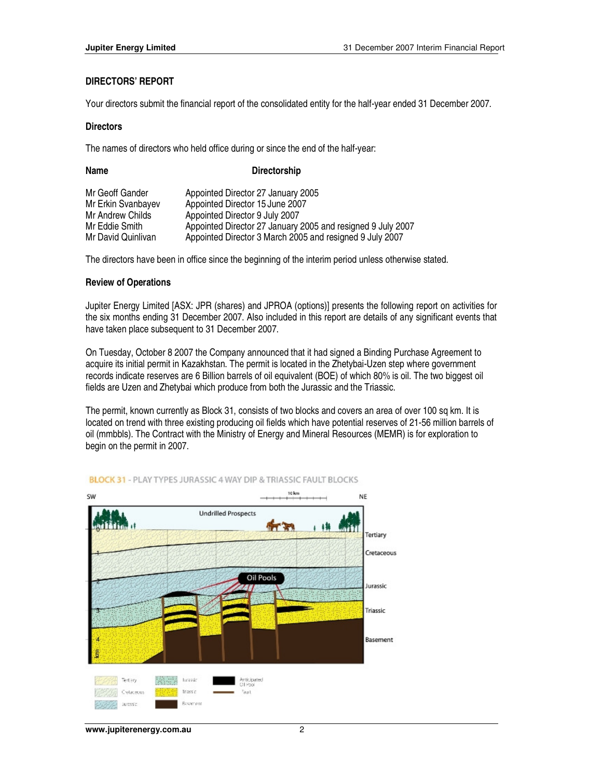#### **DIRECTORS' REPORT**

Your directors submit the financial report of the consolidated entity for the half-year ended 31 December 2007.

#### **Directors**

The names of directors who held office during or since the end of the half-year:

| Name               | <b>Directorship</b>                                         |
|--------------------|-------------------------------------------------------------|
| Mr Geoff Gander    | Appointed Director 27 January 2005                          |
| Mr Erkin Svanbayev | Appointed Director 15 June 2007                             |
| Mr Andrew Childs   | Appointed Director 9 July 2007                              |
| Mr Eddie Smith     | Appointed Director 27 January 2005 and resigned 9 July 2007 |
| Mr David Quinlivan | Appointed Director 3 March 2005 and resigned 9 July 2007    |

The directors have been in office since the beginning of the interim period unless otherwise stated.

#### **Review of Operations**

Jupiter Energy Limited [ASX: JPR (shares) and JPROA (options)] presents the following report on activities for the six months ending 31 December 2007. Also included in this report are details of any significant events that have taken place subsequent to 31 December 2007.

On Tuesday, October 8 2007 the Company announced that it had signed a Binding Purchase Agreement to acquire its initial permit in Kazakhstan. The permit is located in the Zhetybai-Uzen step where government records indicate reserves are 6 Billion barrels of oil equivalent (BOE) of which 80% is oil. The two biggest oil fields are Uzen and Zhetybai which produce from both the Jurassic and the Triassic.

The permit, known currently as Block 31, consists of two blocks and covers an area of over 100 sq km. It is located on trend with three existing producing oil fields which have potential reserves of 21-56 million barrels of oil (mmbbls). The Contract with the Ministry of Energy and Mineral Resources (MEMR) is for exploration to begin on the permit in 2007.



#### **BLOCK 31 - PLAY TYPES JURASSIC 4 WAY DIP & TRIASSIC FAULT BLOCKS**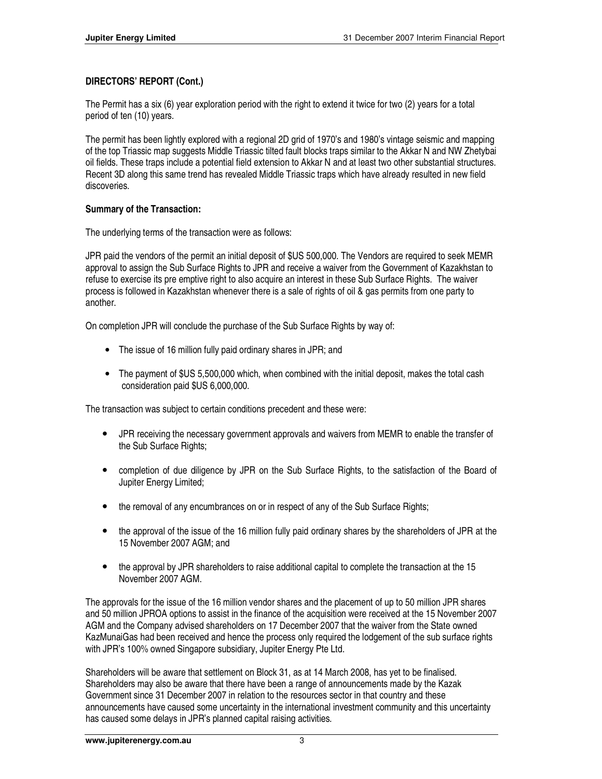## **DIRECTORS' REPORT (Cont.)**

The Permit has a six (6) year exploration period with the right to extend it twice for two (2) years for a total period of ten (10) years.

The permit has been lightly explored with a regional 2D grid of 1970's and 1980's vintage seismic and mapping of the top Triassic map suggests Middle Triassic tilted fault blocks traps similar to the Akkar N and NW Zhetybai oil fields. These traps include a potential field extension to Akkar N and at least two other substantial structures. Recent 3D along this same trend has revealed Middle Triassic traps which have already resulted in new field discoveries.

## **Summary of the Transaction:**

The underlying terms of the transaction were as follows:

JPR paid the vendors of the permit an initial deposit of \$US 500,000. The Vendors are required to seek MEMR approval to assign the Sub Surface Rights to JPR and receive a waiver from the Government of Kazakhstan to refuse to exercise its pre emptive right to also acquire an interest in these Sub Surface Rights. The waiver process is followed in Kazakhstan whenever there is a sale of rights of oil & gas permits from one party to another.

On completion JPR will conclude the purchase of the Sub Surface Rights by way of:

- The issue of 16 million fully paid ordinary shares in JPR; and
- The payment of \$US 5,500,000 which, when combined with the initial deposit, makes the total cash consideration paid \$US 6,000,000.

The transaction was subject to certain conditions precedent and these were:

- JPR receiving the necessary government approvals and waivers from MEMR to enable the transfer of the Sub Surface Rights;
- completion of due diligence by JPR on the Sub Surface Rights, to the satisfaction of the Board of Jupiter Energy Limited;
- the removal of any encumbrances on or in respect of any of the Sub Surface Rights;
- the approval of the issue of the 16 million fully paid ordinary shares by the shareholders of JPR at the 15 November 2007 AGM; and
- the approval by JPR shareholders to raise additional capital to complete the transaction at the 15 November 2007 AGM.

The approvals for the issue of the 16 million vendor shares and the placement of up to 50 million JPR shares and 50 million JPROA options to assist in the finance of the acquisition were received at the 15 November 2007 AGM and the Company advised shareholders on 17 December 2007 that the waiver from the State owned KazMunaiGas had been received and hence the process only required the lodgement of the sub surface rights with JPR's 100% owned Singapore subsidiary, Jupiter Energy Pte Ltd.

Shareholders will be aware that settlement on Block 31, as at 14 March 2008, has yet to be finalised. Shareholders may also be aware that there have been a range of announcements made by the Kazak Government since 31 December 2007 in relation to the resources sector in that country and these announcements have caused some uncertainty in the international investment community and this uncertainty has caused some delays in JPR's planned capital raising activities.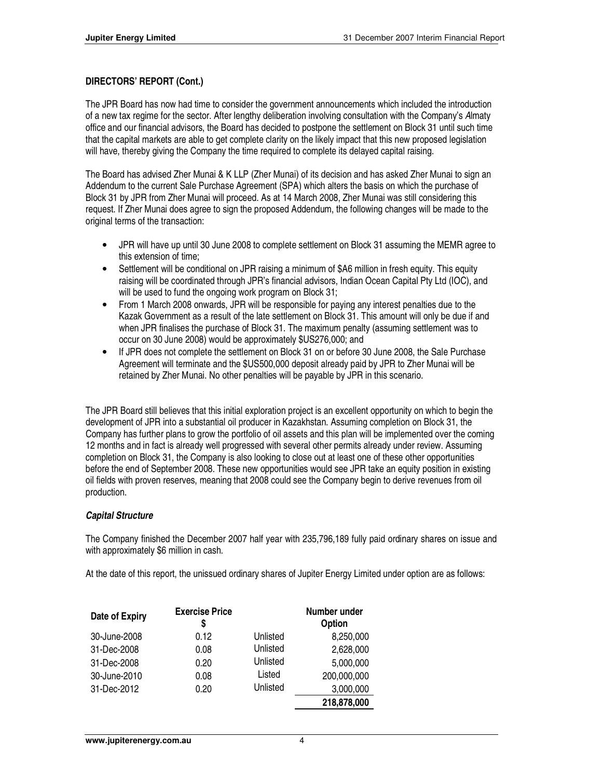## **DIRECTORS' REPORT (Cont.)**

The JPR Board has now had time to consider the government announcements which included the introduction of a new tax regime for the sector. After lengthy deliberation involving consultation with the Company's Almaty office and our financial advisors, the Board has decided to postpone the settlement on Block 31 until such time that the capital markets are able to get complete clarity on the likely impact that this new proposed legislation will have, thereby giving the Company the time required to complete its delayed capital raising.

The Board has advised Zher Munai & K LLP (Zher Munai) of its decision and has asked Zher Munai to sign an Addendum to the current Sale Purchase Agreement (SPA) which alters the basis on which the purchase of Block 31 by JPR from Zher Munai will proceed. As at 14 March 2008, Zher Munai was still considering this request. If Zher Munai does agree to sign the proposed Addendum, the following changes will be made to the original terms of the transaction:

- JPR will have up until 30 June 2008 to complete settlement on Block 31 assuming the MEMR agree to this extension of time;
- Settlement will be conditional on JPR raising a minimum of \$A6 million in fresh equity. This equity raising will be coordinated through JPR's financial advisors, Indian Ocean Capital Pty Ltd (IOC), and will be used to fund the ongoing work program on Block 31;
- From 1 March 2008 onwards, JPR will be responsible for paying any interest penalties due to the Kazak Government as a result of the late settlement on Block 31. This amount will only be due if and when JPR finalises the purchase of Block 31. The maximum penalty (assuming settlement was to occur on 30 June 2008) would be approximately \$US276,000; and
- If JPR does not complete the settlement on Block 31 on or before 30 June 2008, the Sale Purchase Agreement will terminate and the \$US500,000 deposit already paid by JPR to Zher Munai will be retained by Zher Munai. No other penalties will be payable by JPR in this scenario.

The JPR Board still believes that this initial exploration project is an excellent opportunity on which to begin the development of JPR into a substantial oil producer in Kazakhstan. Assuming completion on Block 31, the Company has further plans to grow the portfolio of oil assets and this plan will be implemented over the coming 12 months and in fact is already well progressed with several other permits already under review. Assuming completion on Block 31, the Company is also looking to close out at least one of these other opportunities before the end of September 2008. These new opportunities would see JPR take an equity position in existing oil fields with proven reserves, meaning that 2008 could see the Company begin to derive revenues from oil production.

## **Capital Structure**

The Company finished the December 2007 half year with 235,796,189 fully paid ordinary shares on issue and with approximately \$6 million in cash.

At the date of this report, the unissued ordinary shares of Jupiter Energy Limited under option are as follows:

| Date of Expiry | <b>Exercise Price</b><br>S |          | Number under<br>Option |
|----------------|----------------------------|----------|------------------------|
| 30-June-2008   | 0.12                       | Unlisted | 8,250,000              |
| 31-Dec-2008    | 0.08                       | Unlisted | 2,628,000              |
| 31-Dec-2008    | 0.20                       | Unlisted | 5,000,000              |
| 30-June-2010   | 0.08                       | Listed   | 200,000,000            |
| 31-Dec-2012    | 0.20                       | Unlisted | 3,000,000              |
|                |                            |          | 218,878,000            |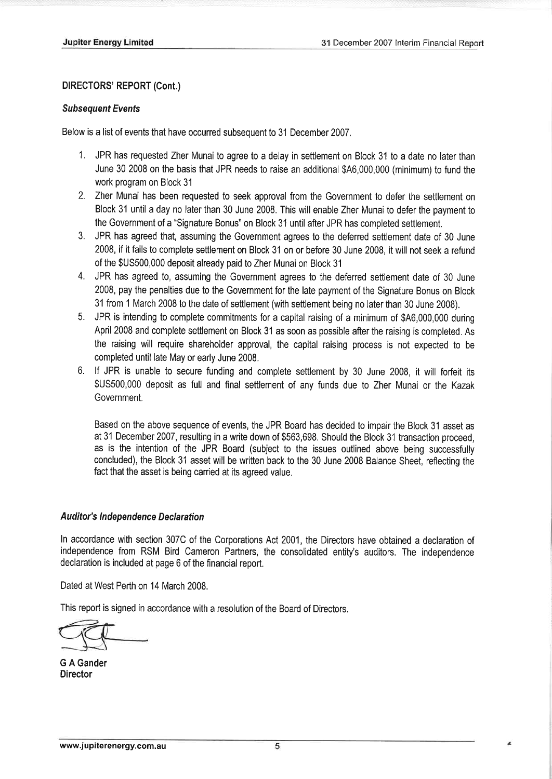## **DIRECTORS' REPORT (Cont.)**

## **Subsequent Events**

Below is a list of events that have occurred subsequent to 31 December 2007.

- 1. JPR has requested Zher Munai to agree to a delay in settlement on Block 31 to a date no later than June 30 2008 on the basis that JPR needs to raise an additional \$A6,000,000 (minimum) to fund the work program on Block 31
- 2. Zher Munai has been requested to seek approval from the Government to defer the settlement on Block 31 until a day no later than 30 June 2008. This will enable Zher Munai to defer the payment to the Government of a "Signature Bonus" on Block 31 until after JPR has completed settlement.
- 3. JPR has agreed that, assuming the Government agrees to the deferred settlement date of 30 June 2008, if it fails to complete settlement on Block 31 on or before 30 June 2008, it will not seek a refund of the \$US500,000 deposit already paid to Zher Munai on Block 31
- 4. JPR has agreed to, assuming the Government agrees to the deferred settlement date of 30 June 2008, pay the penalties due to the Government for the late payment of the Signature Bonus on Block 31 from 1 March 2008 to the date of settlement (with settlement being no later than 30 June 2008).
- 5. JPR is intending to complete commitments for a capital raising of a minimum of \$A6,000,000 during April 2008 and complete settlement on Block 31 as soon as possible after the raising is completed. As the raising will require shareholder approval, the capital raising process is not expected to be completed until late May or early June 2008.
- 6. If JPR is unable to secure funding and complete settlement by 30 June 2008, it will forfeit its \$US500,000 deposit as full and final settlement of any funds due to Zher Munai or the Kazak Government.

Based on the above sequence of events, the JPR Board has decided to impair the Block 31 asset as at 31 December 2007, resulting in a write down of \$563,698. Should the Block 31 transaction proceed. as is the intention of the JPR Board (subject to the issues outlined above being successfully concluded), the Block 31 asset will be written back to the 30 June 2008 Balance Sheet, reflecting the fact that the asset is being carried at its agreed value.

## **Auditor's Independence Declaration**

In accordance with section 307C of the Corporations Act 2001, the Directors have obtained a declaration of independence from RSM Bird Cameron Partners, the consolidated entity's auditors. The independence declaration is included at page 6 of the financial report.

Dated at West Perth on 14 March 2008.

This report is signed in accordance with a resolution of the Board of Directors.

**G A Gander Director**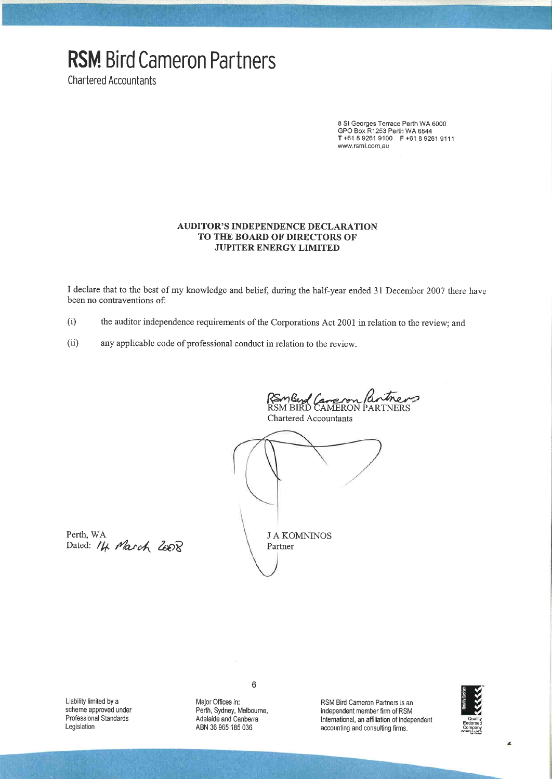# **RSM Bird Cameron Partners**

**Chartered Accountants** 

8 St Georges Terrace Perth WA 6000<br>GPO Box R1253 Perth WA 6844 T+61 8 9261 9100 F +61 8 9261 9111 www.rsml.com.au

#### **AUDITOR'S INDEPENDENCE DECLARATION** TO THE BOARD OF DIRECTORS OF **JUPITER ENERGY LIMITED**

I declare that to the best of my knowledge and belief, during the half-year ended 31 December 2007 there have been no contraventions of:

- the auditor independence requirements of the Corporations Act 2001 in relation to the review; and  $(i)$
- $(ii)$ any applicable code of professional conduct in relation to the review.

RSmBud Cane son Pantner<br>RSM BIRD CAMERON PARTNERS

**Chartered Accountants** 



Perth, WA Dated: 14 March 2008

Liability limited by a scheme approved under Professional Standards Legislation

 $\,6$ 

Major Offices in: Perth, Sydney, Melbourne, Adelaide and Canberra ABN 36 965 185 036

RSM Bird Cameron Partners is an independent member firm of RSM International, an affiliation of independent accounting and consulting firms.

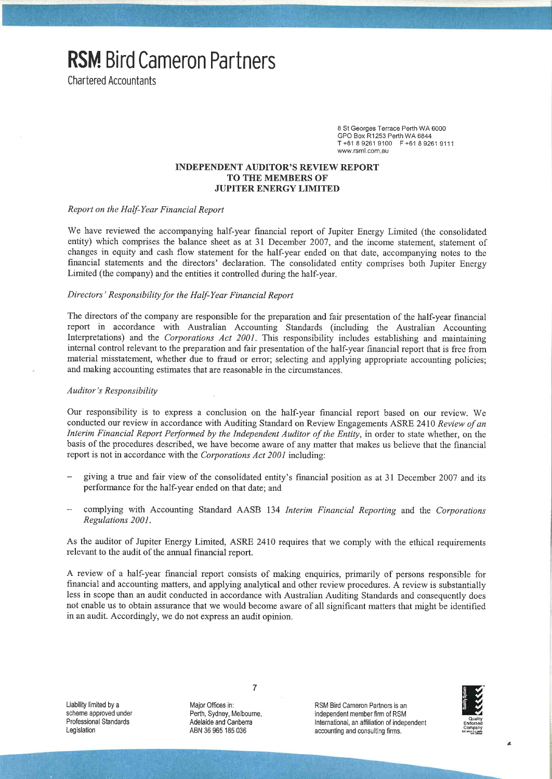**RSM**. Bird Cameron Partners

**Chartered Accountants** 

8 St Georges Terrace Perth WA 6000 GPO Box R1253 Perth WA 6844 T+61 8 9261 9100 F+61 8 9261 9111 www.rsml.com.au

#### **INDEPENDENT AUDITOR'S REVIEW REPORT TO THE MEMBERS OF JUPITER ENERGY LIMITED**

## Report on the Half-Year Financial Report

We have reviewed the accompanying half-year financial report of Jupiter Energy Limited (the consolidated entity) which comprises the balance sheet as at 31 December 2007, and the income statement, statement of changes in equity and cash flow statement for the half-year ended on that date, accompanying notes to the financial statements and the directors' declaration. The consolidated entity comprises both Jupiter Energy Limited (the company) and the entities it controlled during the half-year.

#### Directors' Responsibility for the Half-Year Financial Report

The directors of the company are responsible for the preparation and fair presentation of the half-year financial report in accordance with Australian Accounting Standards (including the Australian Accounting Interpretations) and the Corporations Act 2001. This responsibility includes establishing and maintaining internal control relevant to the preparation and fair presentation of the half-year financial report that is free from material misstatement, whether due to fraud or error; selecting and applying appropriate accounting policies; and making accounting estimates that are reasonable in the circumstances.

#### **Auditor's Responsibility**

Our responsibility is to express a conclusion on the half-year financial report based on our review. We conducted our review in accordance with Auditing Standard on Review Engagements ASRE 2410 Review of an Interim Financial Report Performed by the Independent Auditor of the Entity, in order to state whether, on the basis of the procedures described, we have become aware of any matter that makes us believe that the financial report is not in accordance with the Corporations Act 2001 including:

- giving a true and fair view of the consolidated entity's financial position as at 31 December 2007 and its performance for the half-year ended on that date; and
- complying with Accounting Standard AASB 134 Interim Financial Reporting and the Corporations Regulations 2001.

As the auditor of Jupiter Energy Limited, ASRE 2410 requires that we comply with the ethical requirements relevant to the audit of the annual financial report.

A review of a half-year financial report consists of making enquiries, primarily of persons responsible for financial and accounting matters, and applying analytical and other review procedures. A review is substantially less in scope than an audit conducted in accordance with Australian Auditing Standards and consequently does not enable us to obtain assurance that we would become aware of all significant matters that might be identified in an audit. Accordingly, we do not express an audit opinion.

Liability limited by a scheme approved under Professional Standards Legislation

Major Offices in: Perth, Sydney, Melbourne, Adelaide and Canberra ABN 36 965 185 036

 $\overline{7}$ 

RSM Bird Cameron Partners is an independent member firm of RSM International, an affiliation of independent accounting and consulting firms.

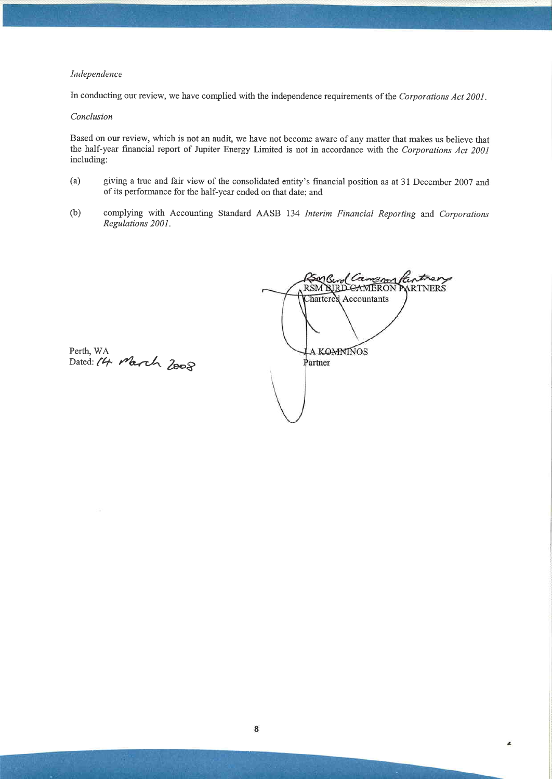#### Independence

In conducting our review, we have complied with the independence requirements of the Corporations Act 2001.

#### Conclusion

Based on our review, which is not an audit, we have not become aware of any matter that makes us believe that the half-year financial report of Jupiter Energy Limited is not in accordance with the Corporations Act 2001 including:

- $(a)$ giving a true and fair view of the consolidated entity's financial position as at 31 December 2007 and of its performance for the half-year ended on that date; and
- $(b)$ complying with Accounting Standard AASB 134 Interim Financial Reporting and Corporations Regulations 2001.

Camempartner MG RSM RIRD CAMERON PARTNERS Chartered Accountants **A KOMNINOS** Partner

L

Perth, WA<br>Dated: 14 March 2008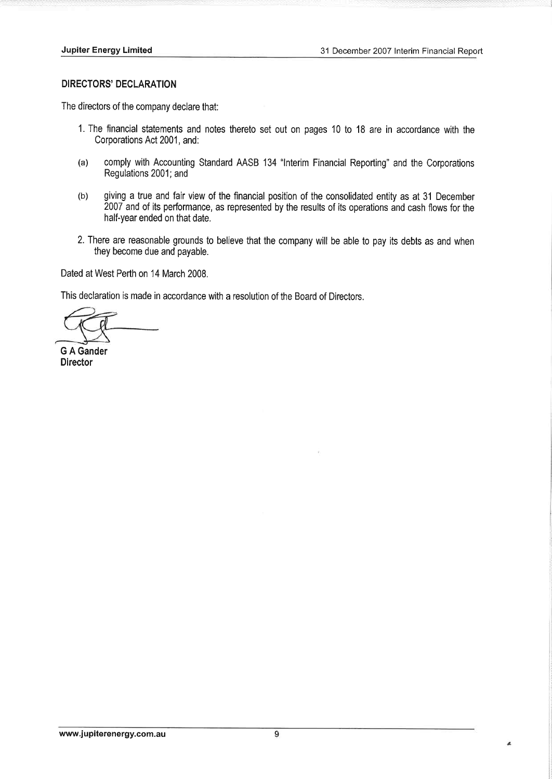## **DIRECTORS' DECLARATION**

The directors of the company declare that:

- 1. The financial statements and notes thereto set out on pages 10 to 18 are in accordance with the Corporations Act 2001, and:
- $(a)$ comply with Accounting Standard AASB 134 "Interim Financial Reporting" and the Corporations Regulations 2001; and
- giving a true and fair view of the financial position of the consolidated entity as at 31 December  $(b)$ 2007 and of its performance, as represented by the results of its operations and cash flows for the half-year ended on that date.
- 2. There are reasonable grounds to believe that the company will be able to pay its debts as and when they become due and payable.

Dated at West Perth on 14 March 2008.

This declaration is made in accordance with a resolution of the Board of Directors.

**G A Gander Director** 

 $\lambda$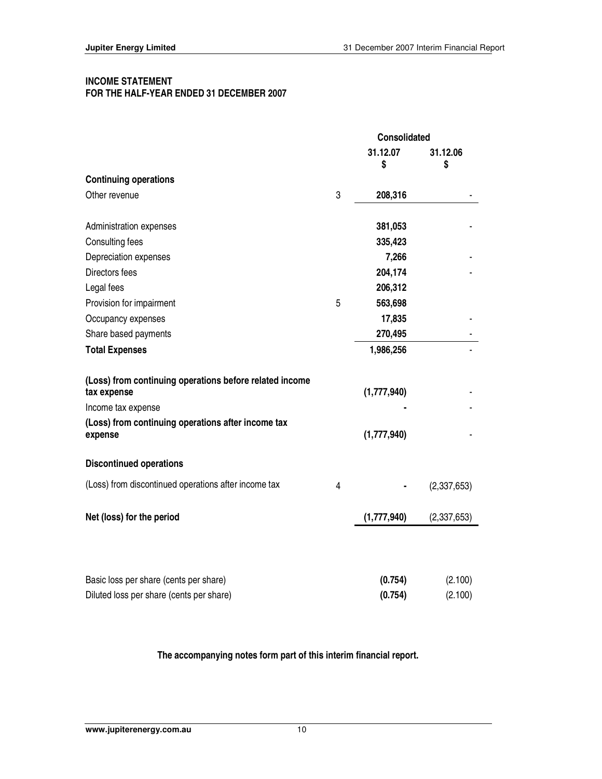## **INCOME STATEMENT FOR THE HALF-YEAR ENDED 31 DECEMBER 2007**

|                                                                        |   | Consolidated   |                |
|------------------------------------------------------------------------|---|----------------|----------------|
|                                                                        |   | 31.12.07<br>\$ | 31.12.06<br>\$ |
| <b>Continuing operations</b>                                           |   |                |                |
| Other revenue                                                          | 3 | 208,316        |                |
| Administration expenses                                                |   | 381,053        |                |
| Consulting fees                                                        |   | 335,423        |                |
| Depreciation expenses                                                  |   | 7,266          |                |
| Directors fees                                                         |   | 204,174        |                |
| Legal fees                                                             |   | 206,312        |                |
| Provision for impairment                                               | 5 | 563,698        |                |
| Occupancy expenses                                                     |   | 17,835         |                |
| Share based payments                                                   |   | 270,495        |                |
| <b>Total Expenses</b>                                                  |   | 1,986,256      |                |
| (Loss) from continuing operations before related income<br>tax expense |   | (1,777,940)    |                |
| Income tax expense                                                     |   |                |                |
| (Loss) from continuing operations after income tax<br>expense          |   | (1,777,940)    |                |
| <b>Discontinued operations</b>                                         |   |                |                |
| (Loss) from discontinued operations after income tax                   | 4 |                | (2,337,653)    |
| Net (loss) for the period                                              |   | (1,777,940)    | (2,337,653)    |
|                                                                        |   |                |                |
| Basic loss per share (cents per share)                                 |   | (0.754)        | (2.100)        |
| Diluted loss per share (cents per share)                               |   | (0.754)        | (2.100)        |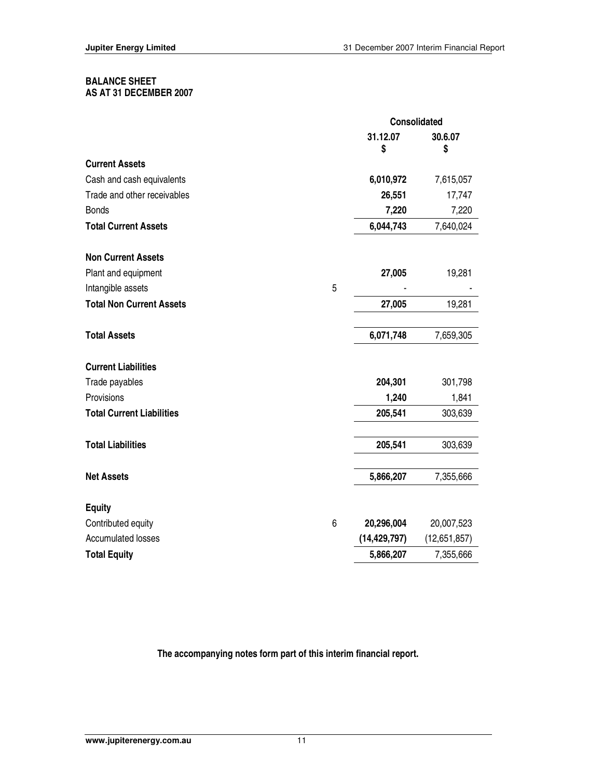## **BALANCE SHEET**

**AS AT 31 DECEMBER 2007** 

|                                  |   |                | <b>Consolidated</b> |
|----------------------------------|---|----------------|---------------------|
|                                  |   | 31.12.07<br>\$ | 30.6.07<br>\$       |
| <b>Current Assets</b>            |   |                |                     |
| Cash and cash equivalents        |   | 6,010,972      | 7,615,057           |
| Trade and other receivables      |   | 26,551         | 17,747              |
| <b>Bonds</b>                     |   | 7,220          | 7,220               |
| <b>Total Current Assets</b>      |   | 6,044,743      | 7,640,024           |
| <b>Non Current Assets</b>        |   |                |                     |
| Plant and equipment              |   | 27,005         | 19,281              |
| Intangible assets                | 5 |                |                     |
| <b>Total Non Current Assets</b>  |   | 27,005         | 19,281              |
| <b>Total Assets</b>              |   | 6,071,748      | 7,659,305           |
| <b>Current Liabilities</b>       |   |                |                     |
| Trade payables                   |   | 204,301        | 301,798             |
| Provisions                       |   | 1,240          | 1,841               |
| <b>Total Current Liabilities</b> |   | 205,541        | 303,639             |
| <b>Total Liabilities</b>         |   | 205,541        | 303,639             |
| <b>Net Assets</b>                |   | 5,866,207      | 7,355,666           |
| <b>Equity</b>                    |   |                |                     |
| Contributed equity               | 6 | 20,296,004     | 20,007,523          |
| <b>Accumulated losses</b>        |   | (14, 429, 797) | (12,651,857)        |
| <b>Total Equity</b>              |   | 5,866,207      | 7,355,666           |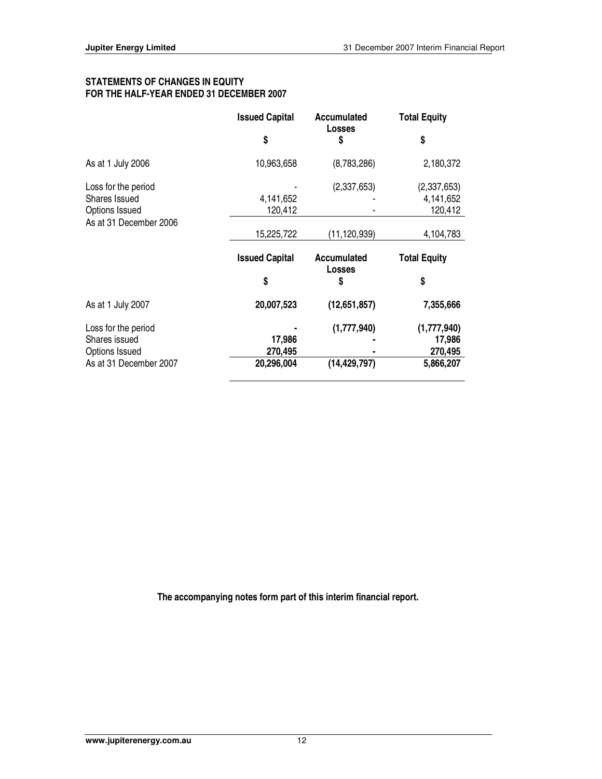## **STATEMENTS OF CHANGES IN EQUITY FOR THE HALF-YEAR ENDED 31 DECEMBER 2007**

|                                                               | <b>Issued Capital</b> | Accumulated<br><b>Losses</b> | <b>Total Equity</b>                 |
|---------------------------------------------------------------|-----------------------|------------------------------|-------------------------------------|
|                                                               | \$                    | \$                           | \$                                  |
| As at 1 July 2006                                             | 10,963,658            | (8,783,286)                  | 2,180,372                           |
| Loss for the period<br>Shares Issued<br><b>Options Issued</b> | 4,141,652<br>120,412  | (2,337,653)                  | (2,337,653)<br>4,141,652<br>120,412 |
| As at 31 December 2006                                        | 15,225,722            | (11, 120, 939)               | 4,104,783                           |
|                                                               | <b>Issued Capital</b> | Accumulated<br><b>Losses</b> | <b>Total Equity</b>                 |
|                                                               | \$                    | \$                           | \$                                  |
| As at 1 July 2007                                             | 20,007,523            | (12,651,857)                 | 7,355,666                           |
| Loss for the period<br>Shares issued<br>Options Issued        | 17,986<br>270,495     | (1,777,940)                  | (1,777,940)<br>17,986<br>270,495    |
| As at 31 December 2007                                        | 20,296,004            | (14, 429, 797)               | 5,866,207                           |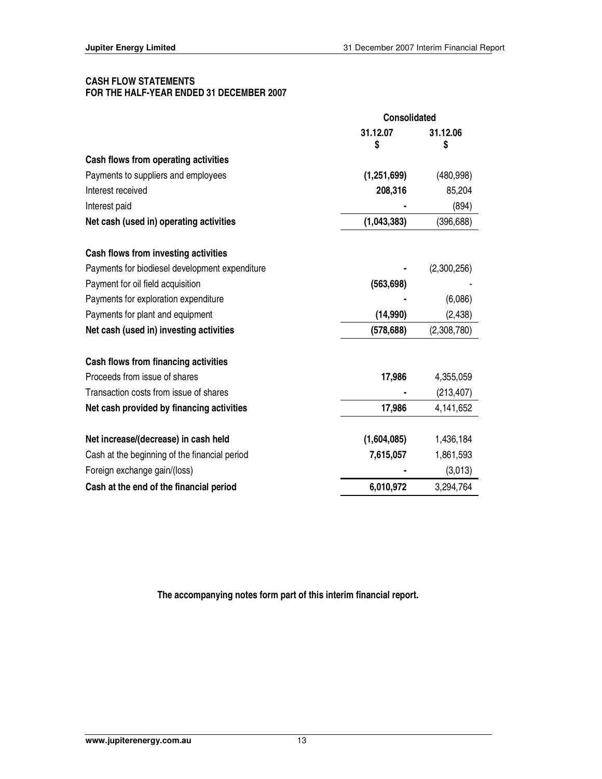## **CASH FLOW STATEMENTS FOR THE HALF-YEAR ENDED 31 DECEMBER 2007**

|                                                | <b>Consolidated</b> |                |
|------------------------------------------------|---------------------|----------------|
|                                                | 31.12.07<br>S       | 31.12.06<br>\$ |
| Cash flows from operating activities           |                     |                |
| Payments to suppliers and employees            | (1, 251, 699)       | (480, 998)     |
| Interest received                              | 208,316             | 85,204         |
| Interest paid                                  |                     | (894)          |
| Net cash (used in) operating activities        | (1,043,383)         | (396, 688)     |
| Cash flows from investing activities           |                     |                |
| Payments for biodiesel development expenditure |                     | (2,300,256)    |
| Payment for oil field acquisition              | (563, 698)          |                |
| Payments for exploration expenditure           |                     | (6,086)        |
| Payments for plant and equipment               | (14,990)            | (2, 438)       |
| Net cash (used in) investing activities        | (578, 688)          | (2,308,780)    |
| Cash flows from financing activities           |                     |                |
| Proceeds from issue of shares                  | 17,986              | 4,355,059      |
| Transaction costs from issue of shares         |                     | (213, 407)     |
| Net cash provided by financing activities      | 17,986              | 4,141,652      |
| Net increase/(decrease) in cash held           | (1,604,085)         | 1,436,184      |
| Cash at the beginning of the financial period  | 7,615,057           | 1,861,593      |
| Foreign exchange gain/(loss)                   |                     | (3,013)        |
| Cash at the end of the financial period        | 6,010,972           | 3,294,764      |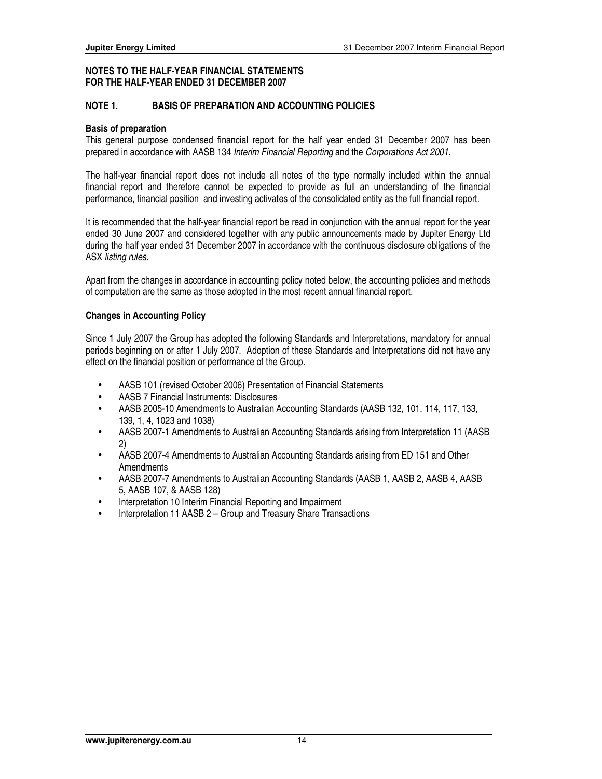## **NOTE 1. BASIS OF PREPARATION AND ACCOUNTING POLICIES**

#### **Basis of preparation**

This general purpose condensed financial report for the half year ended 31 December 2007 has been prepared in accordance with AASB 134 Interim Financial Reporting and the Corporations Act 2001.

The half-year financial report does not include all notes of the type normally included within the annual financial report and therefore cannot be expected to provide as full an understanding of the financial performance, financial position and investing activates of the consolidated entity as the full financial report.

It is recommended that the half-year financial report be read in conjunction with the annual report for the year ended 30 June 2007 and considered together with any public announcements made by Jupiter Energy Ltd during the half year ended 31 December 2007 in accordance with the continuous disclosure obligations of the ASX listing rules.

Apart from the changes in accordance in accounting policy noted below, the accounting policies and methods of computation are the same as those adopted in the most recent annual financial report.

#### **Changes in Accounting Policy**

Since 1 July 2007 the Group has adopted the following Standards and Interpretations, mandatory for annual periods beginning on or after 1 July 2007. Adoption of these Standards and Interpretations did not have any effect on the financial position or performance of the Group.

- AASB 101 (revised October 2006) Presentation of Financial Statements
- AASB 7 Financial Instruments: Disclosures
- AASB 2005-10 Amendments to Australian Accounting Standards (AASB 132, 101, 114, 117, 133, 139, 1, 4, 1023 and 1038)
- AASB 2007-1 Amendments to Australian Accounting Standards arising from Interpretation 11 (AASB 2)
- AASB 2007-4 Amendments to Australian Accounting Standards arising from ED 151 and Other Amendments
- AASB 2007-7 Amendments to Australian Accounting Standards (AASB 1, AASB 2, AASB 4, AASB 5, AASB 107, & AASB 128)
- Interpretation 10 Interim Financial Reporting and Impairment
- Interpretation 11 AASB 2 Group and Treasury Share Transactions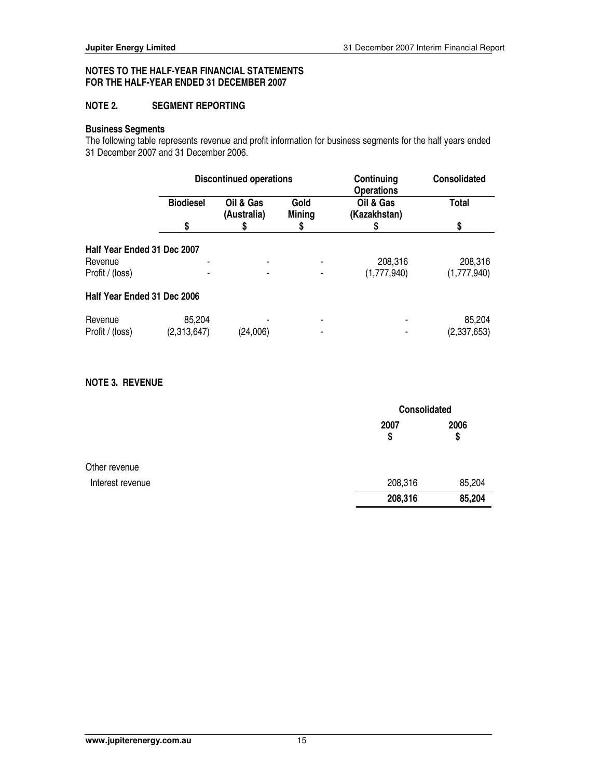## **NOTE 2. SEGMENT REPORTING**

#### **Business Segments**

The following table represents revenue and profit information for business segments for the half years ended 31 December 2007 and 31 December 2006.

|                             | <b>Discontinued operations</b> |                          | Continuing<br><b>Operations</b> | <b>Consolidated</b>       |              |
|-----------------------------|--------------------------------|--------------------------|---------------------------------|---------------------------|--------------|
|                             | <b>Biodiesel</b>               | Oil & Gas<br>(Australia) | Gold<br><b>Mining</b>           | Oil & Gas<br>(Kazakhstan) | <b>Total</b> |
|                             | \$                             | S                        | S                               |                           | \$           |
| Half Year Ended 31 Dec 2007 |                                |                          |                                 |                           |              |
| Revenue                     |                                |                          |                                 | 208,316                   | 208,316      |
| Profit / (loss)             |                                |                          |                                 | (1,777,940)               | (1,777,940)  |
| Half Year Ended 31 Dec 2006 |                                |                          |                                 |                           |              |
| Revenue                     | 85,204                         |                          |                                 | $\blacksquare$            | 85,204       |
| Profit / (loss)             | (2,313,647)                    | (24,006)                 |                                 |                           | (2,337,653)  |

## **NOTE 3. REVENUE**

|                  |            | Consolidated |  |
|------------------|------------|--------------|--|
|                  | 2007<br>\$ | 2006<br>\$   |  |
| Other revenue    |            |              |  |
| Interest revenue | 208,316    | 85,204       |  |
|                  | 208,316    | 85,204       |  |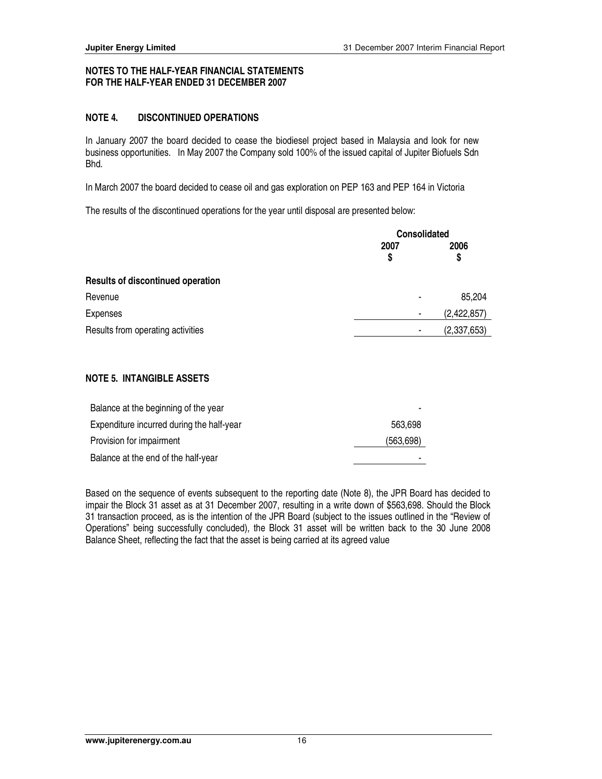## **NOTE 4. DISCONTINUED OPERATIONS**

In January 2007 the board decided to cease the biodiesel project based in Malaysia and look for new business opportunities. In May 2007 the Company sold 100% of the issued capital of Jupiter Biofuels Sdn Bhd.

In March 2007 the board decided to cease oil and gas exploration on PEP 163 and PEP 164 in Victoria

The results of the discontinued operations for the year until disposal are presented below:

|                                          | <b>Consolidated</b> |               |
|------------------------------------------|---------------------|---------------|
|                                          | 2007                | 2006          |
|                                          | \$                  | \$            |
| <b>Results of discontinued operation</b> |                     |               |
| Revenue                                  |                     | 85,204        |
| Expenses                                 | ٠                   | (2, 422, 857) |
| Results from operating activities        |                     | (2,337,653)   |
|                                          |                     |               |

## **NOTE 5. INTANGIBLE ASSETS**

| Balance at the beginning of the year      |                |
|-------------------------------------------|----------------|
| Expenditure incurred during the half-year | 563.698        |
| Provision for impairment                  | (563, 698)     |
| Balance at the end of the half-year       | $\blacksquare$ |

Based on the sequence of events subsequent to the reporting date (Note 8), the JPR Board has decided to impair the Block 31 asset as at 31 December 2007, resulting in a write down of \$563,698. Should the Block 31 transaction proceed, as is the intention of the JPR Board (subject to the issues outlined in the "Review of Operations" being successfully concluded), the Block 31 asset will be written back to the 30 June 2008 Balance Sheet, reflecting the fact that the asset is being carried at its agreed value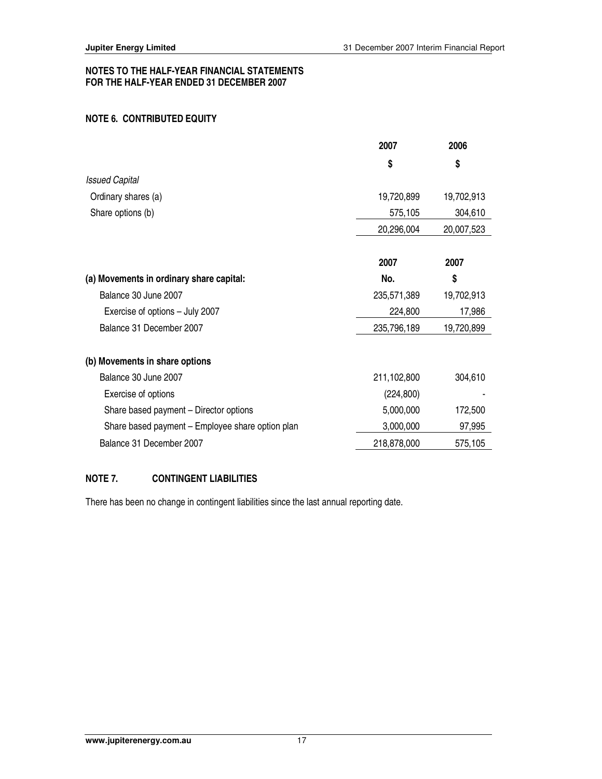## **NOTE 6. CONTRIBUTED EQUITY**

|                                                  | 2007        | 2006       |
|--------------------------------------------------|-------------|------------|
|                                                  | \$          | \$         |
| <b>Issued Capital</b>                            |             |            |
| Ordinary shares (a)                              | 19,720,899  | 19,702,913 |
| Share options (b)                                | 575,105     | 304,610    |
|                                                  | 20,296,004  | 20,007,523 |
|                                                  | 2007        | 2007       |
| (a) Movements in ordinary share capital:         | No.         | \$         |
| Balance 30 June 2007                             | 235,571,389 | 19,702,913 |
| Exercise of options - July 2007                  | 224,800     | 17,986     |
| Balance 31 December 2007                         | 235,796,189 | 19,720,899 |
| (b) Movements in share options                   |             |            |
| Balance 30 June 2007                             | 211,102,800 | 304,610    |
| Exercise of options                              | (224, 800)  |            |
| Share based payment – Director options           | 5,000,000   | 172,500    |
| Share based payment - Employee share option plan | 3,000,000   | 97,995     |
| Balance 31 December 2007                         | 218,878,000 | 575,105    |

## **NOTE 7. CONTINGENT LIABILITIES**

There has been no change in contingent liabilities since the last annual reporting date.